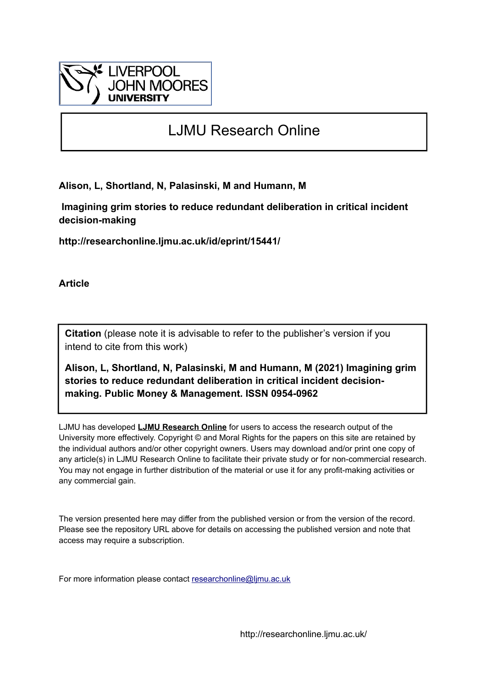

# LJMU Research Online

**Alison, L, Shortland, N, Palasinski, M and Humann, M**

 **Imagining grim stories to reduce redundant deliberation in critical incident decision-making**

**http://researchonline.ljmu.ac.uk/id/eprint/15441/**

**Article**

**Citation** (please note it is advisable to refer to the publisher's version if you intend to cite from this work)

**Alison, L, Shortland, N, Palasinski, M and Humann, M (2021) Imagining grim stories to reduce redundant deliberation in critical incident decisionmaking. Public Money & Management. ISSN 0954-0962** 

LJMU has developed **[LJMU Research Online](http://researchonline.ljmu.ac.uk/)** for users to access the research output of the University more effectively. Copyright © and Moral Rights for the papers on this site are retained by the individual authors and/or other copyright owners. Users may download and/or print one copy of any article(s) in LJMU Research Online to facilitate their private study or for non-commercial research. You may not engage in further distribution of the material or use it for any profit-making activities or any commercial gain.

The version presented here may differ from the published version or from the version of the record. Please see the repository URL above for details on accessing the published version and note that access may require a subscription.

For more information please contact [researchonline@ljmu.ac.uk](mailto:researchonline@ljmu.ac.uk)

http://researchonline.ljmu.ac.uk/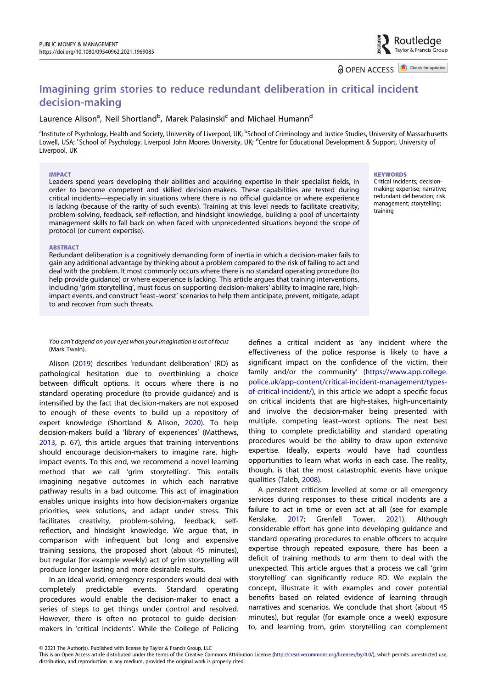**a** OPEN ACCESS **D** Check for updates

Routledae Taylor & Francis Group

# Imagining grim stories to reduce redundant deliberation in critical incident decision-making

# Laurence Alison<sup>a</sup>, Neil Shortland<sup>b</sup>, Marek Palasinski<sup>c</sup> and Michael Humann<sup>d</sup>

<sup>a</sup>Institute of Psychology, Health and Society, University of Liverpool, UK; <sup>b</sup>School of Criminology and Justice Studies, University of Massachusetts Lowell, USA; 'School of Psychology, Liverpool John Moores University, UK; <sup>d</sup>Centre for Educational Development & Support, University of Liverpool, UK

#### IMPACT

Leaders spend years developing their abilities and acquiring expertise in their specialist fields, in order to become competent and skilled decision-makers. These capabilities are tested during critical incidents—especially in situations where there is no official guidance or where experience is lacking (because of the rarity of such events). Training at this level needs to facilitate creativity, problem-solving, feedback, self-reflection, and hindsight knowledge, building a pool of uncertainty management skills to fall back on when faced with unprecedented situations beyond the scope of protocol (or current expertise).

#### **KEYWORDS**

Critical incidents; decisionmaking; expertise; narrative; redundant deliberation; risk management; storytelling; training

#### ABSTRACT

Redundant deliberation is a cognitively demanding form of inertia in which a decision-maker fails to gain any additional advantage by thinking about a problem compared to the risk of failing to act and deal with the problem. It most commonly occurs where there is no standard operating procedure (to help provide guidance) or where experience is lacking. This article argues that training interventions, including 'grim storytelling', must focus on supporting decision-makers' ability to imagine rare, highimpact events, and construct 'least–worst' scenarios to help them anticipate, prevent, mitigate, adapt to and recover from such threats.

You can't depend on your eyes when your imagination is out of focus (Mark Twain).

<span id="page-1-3"></span><span id="page-1-2"></span><span id="page-1-0"></span>Alison [\(2019\)](#page-6-0) describes 'redundant deliberation' (RD) as pathological hesitation due to overthinking a choice between difficult options. It occurs where there is no standard operating procedure (to provide guidance) and is intensified by the fact that decision-makers are not exposed to enough of these events to build up a repository of expert knowledge (Shortland & Alison, [2020\)](#page-8-0). To help decision-makers build a 'library of experiences' (Matthews, [2013,](#page-7-0) p. 67), this article argues that training interventions should encourage decision-makers to imagine rare, highimpact events. To this end, we recommend a novel learning method that we call 'grim storytelling'. This entails imagining negative outcomes in which each narrative pathway results in a bad outcome. This act of imagination enables unique insights into how decision-makers organize priorities, seek solutions, and adapt under stress. This facilitates creativity, problem-solving, feedback, selfreflection, and hindsight knowledge. We argue that, in comparison with infrequent but long and expensive training sessions, the proposed short (about 45 minutes), but regular (for example weekly) act of grim storytelling will produce longer lasting and more desirable results.

In an ideal world, emergency responders would deal with completely predictable events. Standard operating procedures would enable the decision-maker to enact a series of steps to get things under control and resolved. However, there is often no protocol to guide decisionmakers in 'critical incidents'. While the College of Policing

defines a critical incident as 'any incident where the effectiveness of the police response is likely to have a significant impact on the confidence of the victim, their family and/or the community' [\(https://www.app.college.](https://www.app.college.police.uk/app-content/critical-incident-management/types-of-critical-incident/) [police.uk/app-content/critical-incident-management/types](https://www.app.college.police.uk/app-content/critical-incident-management/types-of-critical-incident/)[of-critical-incident/](https://www.app.college.police.uk/app-content/critical-incident-management/types-of-critical-incident/)), in this article we adopt a specific focus on critical incidents that are high-stakes, high-uncertainty and involve the decision-maker being presented with multiple, competing least–worst options. The next best thing to complete predictability and standard operating procedures would be the ability to draw upon extensive expertise. Ideally, experts would have had countless opportunities to learn what works in each case. The reality, though, is that the most catastrophic events have unique qualities (Taleb, [2008\)](#page-8-1).

<span id="page-1-4"></span><span id="page-1-1"></span>A persistent criticism levelled at some or all emergency services during responses to these critical incidents are a failure to act in time or even act at all (see for example Kerslake, [2017](#page-7-1); Grenfell Tower, [2021\)](#page-7-2). Although considerable effort has gone into developing guidance and standard operating procedures to enable officers to acquire expertise through repeated exposure, there has been a deficit of training methods to arm them to deal with the unexpected. This article argues that a process we call 'grim storytelling' can significantly reduce RD. We explain the concept, illustrate it with examples and cover potential benefits based on related evidence of learning through narratives and scenarios. We conclude that short (about 45 minutes), but regular (for example once a week) exposure to, and learning from, grim storytelling can complement

<sup>© 2021</sup> The Author(s). Published with license by Taylor & Francis Group, LLC

This is an Open Access article distributed under the terms of the Creative Commons Attribution License [\(http://creativecommons.org/licenses/by/4.0/](http://creativecommons.org/licenses/by/4.0/)), which permits unrestricted use, distribution, and reproduction in any medium, provided the original work is properly cited.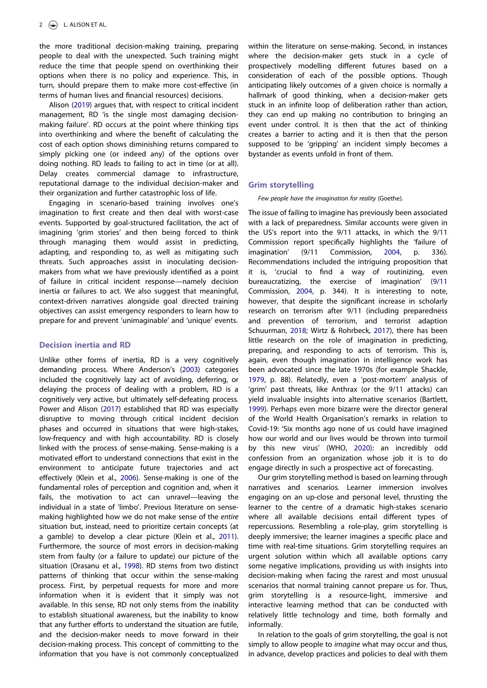the more traditional decision-making training, preparing people to deal with the unexpected. Such training might reduce the time that people spend on overthinking their options when there is no policy and experience. This, in turn, should prepare them to make more cost-effective (in terms of human lives and financial resources) decisions.

Alison [\(2019\)](#page-6-0) argues that, with respect to critical incident management, RD 'is the single most damaging decisionmaking failure'. RD occurs at the point where thinking tips into overthinking and where the benefit of calculating the cost of each option shows diminishing returns compared to simply picking one (or indeed any) of the options over doing nothing. RD leads to failing to act in time (or at all). Delay creates commercial damage to infrastructure, reputational damage to the individual decision-maker and their organization and further catastrophic loss of life.

Engaging in scenario-based training involves one's imagination to first create and then deal with worst-case events. Supported by goal-structured facilitation, the act of imagining 'grim stories' and then being forced to think through managing them would assist in predicting, adapting, and responding to, as well as mitigating such threats. Such approaches assist in inoculating decisionmakers from what we have previously identified as a point of failure in critical incident response—namely decision inertia or failures to act. We also suggest that meaningful, context-driven narratives alongside goal directed training objectives can assist emergency responders to learn how to prepare for and prevent 'unimaginable' and 'unique' events.

### Decision inertia and RD

<span id="page-2-6"></span><span id="page-2-5"></span><span id="page-2-4"></span><span id="page-2-3"></span><span id="page-2-0"></span>Unlike other forms of inertia, RD is a very cognitively demanding process. Where Anderson's ([2003](#page-6-1)) categories included the cognitively lazy act of avoiding, deferring, or delaying the process of dealing with a problem, RD is a cognitively very active, but ultimately self-defeating process. Power and Alison ([2017](#page-7-3)) established that RD was especially disruptive to moving through critical incident decision phases and occurred in situations that were high-stakes, low-frequency and with high accountability. RD is closely linked with the process of sense-making. Sense-making is a motivated effort to understand connections that exist in the environment to anticipate future trajectories and act effectively (Klein et al., [2006\)](#page-7-4). Sense-making is one of the fundamental roles of perception and cognition and, when it fails, the motivation to act can unravel—leaving the individual in a state of 'limbo'. Previous literature on sensemaking highlighted how we do not make sense of the entire situation but, instead, need to prioritize certain concepts (at a gamble) to develop a clear picture (Klein et al., [2011](#page-7-5)). Furthermore, the source of most errors in decision-making stem from faulty (or a failure to update) our picture of the situation (Orasanu et al., [1998\)](#page-7-6). RD stems from two distinct patterns of thinking that occur within the sense-making process. First, by perpetual requests for more and more information when it is evident that it simply was not available. In this sense, RD not only stems from the inability to establish situational awareness, but the inability to know that any further efforts to understand the situation are futile, and the decision-maker needs to move forward in their decision-making process. This concept of committing to the information that you have is not commonly conceptualized

within the literature on sense-making. Second, in instances where the decision-maker gets stuck in a cycle of prospectively modelling different futures based on a consideration of each of the possible options. Though anticipating likely outcomes of a given choice is normally a hallmark of good thinking, when a decision-maker gets stuck in an infinite loop of deliberation rather than action, they can end up making no contribution to bringing an event under control. It is then that the act of thinking creates a barrier to acting and it is then that the person supposed to be 'gripping' an incident simply becomes a bystander as events unfold in front of them.

#### Grim storytelling

#### Few people have the imagination for reality (Goethe).

<span id="page-2-7"></span><span id="page-2-2"></span>The issue of failing to imagine has previously been associated with a lack of preparedness. Similar accounts were given in the US's report into the 9/11 attacks, in which the 9/11 Commission report specifically highlights the 'failure of imagination' (9/11 Commission, [2004](#page-6-2), p. 336). Recommendations included the intriguing proposition that it is, 'crucial to find a way of routinizing, even bureaucratizing, the exercise of imagination' [\(9](#page-6-2)/[11](#page-6-2) Commission, [2004,](#page-6-2) p. 344). It is interesting to note, however, that despite the significant increase in scholarly research on terrorism after 9/11 (including preparedness and prevention of terrorism, and terrorist adaption Schuurman, [2018](#page-8-2); Wirtz & Rohrbeck, [2017\)](#page-8-3), there has been little research on the role of imagination in predicting, preparing, and responding to acts of terrorism. This is, again, even though imagination in intelligence work has been advocated since the late 1970s (for example Shackle, [1979](#page-8-4), p. 88). Relatedly, even a 'post-mortem' analysis of 'grim' past threats, like Anthrax (or the 9/11 attacks) can yield invaluable insights into alternative scenarios (Bartlett, [1999](#page-6-3)). Perhaps even more bizarre were the director general of the World Health Organisation's remarks in relation to Covid-19: 'Six months ago none of us could have imagined how our world and our lives would be thrown into turmoil by this new virus' (WHO, [2020](#page-8-5)): an incredibly odd confession from an organization whose job it is to do engage directly in such a prospective act of forecasting.

<span id="page-2-9"></span><span id="page-2-8"></span><span id="page-2-1"></span>Our grim storytelling method is based on learning through narratives and scenarios. Learner immersion involves engaging on an up-close and personal level, thrusting the learner to the centre of a dramatic high-stakes scenario where all available decisions entail different types of repercussions. Resembling a role-play, grim storytelling is deeply immersive; the learner imagines a specific place and time with real-time situations. Grim storytelling requires an urgent solution within which all available options carry some negative implications, providing us with insights into decision-making when facing the rarest and most unusual scenarios that normal training cannot prepare us for. Thus, grim storytelling is a resource-light, immersive and interactive learning method that can be conducted with relatively little technology and time, both formally and informally.

In relation to the goals of grim storytelling, the goal is not simply to allow people to *imagine* what may occur and thus, in advance, develop practices and policies to deal with them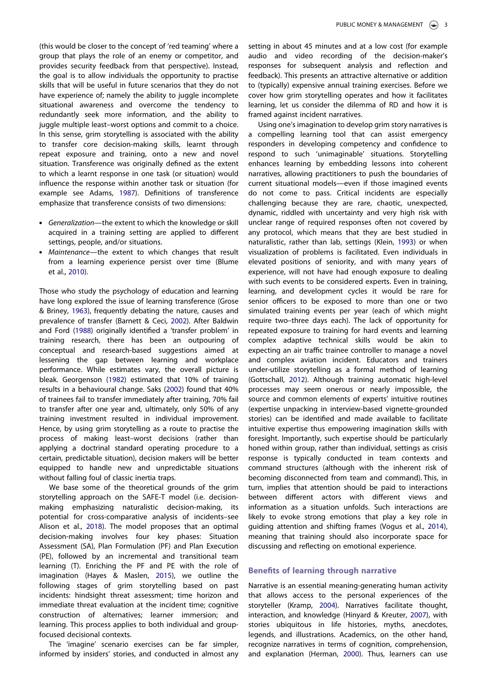(this would be closer to the concept of 'red teaming' where a group that plays the role of an enemy or competitor, and provides security feedback from that perspective). Instead, the goal is to allow individuals the opportunity to practise skills that will be useful in future scenarios that they do not have experience of; namely the ability to juggle incomplete situational awareness and overcome the tendency to redundantly seek more information, and the ability to juggle multiple least–worst options and commit to a choice. In this sense, grim storytelling is associated with the ability to transfer core decision-making skills, learnt through repeat exposure and training, onto a new and novel situation. Transference was originally defined as the extent to which a learnt response in one task (or situation) would influence the response within another task or situation (for example see Adams, [1987](#page-6-4)). Definitions of transference emphasize that transference consists of two dimensions:

- <span id="page-3-0"></span>. Generalization—the extent to which the knowledge or skill acquired in a training setting are applied to different settings, people, and/or situations.
- <span id="page-3-4"></span>. Maintenance—the extent to which changes that result from a learning experience persist over time (Blume et al., [2010](#page-6-5)).

<span id="page-3-13"></span><span id="page-3-7"></span><span id="page-3-5"></span><span id="page-3-3"></span><span id="page-3-2"></span>Those who study the psychology of education and learning have long explored the issue of learning transference (Grose & Briney, [1963\)](#page-7-7), frequently debating the nature, causes and prevalence of transfer (Barnett & Ceci, [2002](#page-6-6)). After Baldwin and Ford ([1988](#page-6-7)) originally identified a 'transfer problem' in training research, there has been an outpouring of conceptual and research-based suggestions aimed at lessening the gap between learning and workplace performance. While estimates vary, the overall picture is bleak. Georgenson ([1982\)](#page-7-8) estimated that 10% of training results in a behavioural change. Saks [\(2002](#page-8-6)) found that 40% of trainees fail to transfer immediately after training, 70% fail to transfer after one year and, ultimately, only 50% of any training investment resulted in individual improvement. Hence, by using grim storytelling as a route to practise the process of making least–worst decisions (rather than applying a doctrinal standard operating procedure to a certain, predictable situation), decision makers will be better equipped to handle new and unpredictable situations without falling foul of classic inertia traps.

<span id="page-3-1"></span>We base some of the theoretical grounds of the grim storytelling approach on the SAFE-T model (i.e. decisionmaking emphasizing naturalistic decision-making, its potential for cross-comparative analysis of incidents–see Alison et al., [2018\)](#page-6-8). The model proposes that an optimal decision-making involves four key phases: Situation Assessment (SA), Plan Formulation (PF) and Plan Execution (PE), followed by an incremental and transitional team learning (T). Enriching the PF and PE with the role of imagination (Hayes & Maslen, [2015\)](#page-7-9), we outline the following stages of grim storytelling based on past incidents: hindsight threat assessment; time horizon and immediate threat evaluation at the incident time; cognitive construction of alternatives; learner immersion; and learning. This process applies to both individual and groupfocused decisional contexts.

<span id="page-3-8"></span>The 'imagine' scenario exercises can be far simpler, informed by insiders' stories, and conducted in almost any setting in about 45 minutes and at a low cost (for example audio and video recording of the decision-maker's responses for subsequent analysis and reflection and feedback). This presents an attractive alternative or addition to (typically) expensive annual training exercises. Before we cover how grim storytelling operates and how it facilitates learning, let us consider the dilemma of RD and how it is framed against incident narratives.

<span id="page-3-11"></span>Using one's imagination to develop grim story narratives is a compelling learning tool that can assist emergency responders in developing competency and confidence to respond to such 'unimaginable' situations. Storytelling enhances learning by embedding lessons into coherent narratives, allowing practitioners to push the boundaries of current situational models—even if those imagined events do not come to pass. Critical incidents are especially challenging because they are rare, chaotic, unexpected, dynamic, riddled with uncertainty and very high risk with unclear range of required responses often not covered by any protocol, which means that they are best studied in naturalistic, rather than lab, settings (Klein, [1993\)](#page-7-10) or when visualization of problems is facilitated. Even individuals in elevated positions of seniority, and with many years of experience, will not have had enough exposure to dealing with such events to be considered experts. Even in training, learning, and development cycles it would be rare for senior officers to be exposed to more than one or two simulated training events per year (each of which might require two–three days each). The lack of opportunity for repeated exposure to training for hard events and learning complex adaptive technical skills would be akin to expecting an air traffic trainee controller to manage a novel and complex aviation incident. Educators and trainers under-utilize storytelling as a formal method of learning (Gottschall, [2012](#page-7-11)). Although training automatic high-level processes may seem onerous or nearly impossible, the source and common elements of experts' intuitive routines (expertise unpacking in interview-based vignette-grounded stories) can be identified and made available to facilitate intuitive expertise thus empowering imagination skills with foresight. Importantly, such expertise should be particularly honed within group, rather than individual, settings as crisis response is typically conducted in team contexts and command structures (although with the inherent risk of becoming disconnected from team and command). This, in turn, implies that attention should be paid to interactions between different actors with different views and information as a situation unfolds. Such interactions are likely to evoke strong emotions that play a key role in guiding attention and shifting frames (Vogus et al., [2014\)](#page-8-7), meaning that training should also incorporate space for discussing and reflecting on emotional experience.

#### <span id="page-3-14"></span><span id="page-3-6"></span>Benefits of learning through narrative

<span id="page-3-12"></span><span id="page-3-10"></span><span id="page-3-9"></span>Narrative is an essential meaning-generating human activity that allows access to the personal experiences of the storyteller (Kramp, [2004\)](#page-7-12). Narratives facilitate thought, interaction, and knowledge (Hinyard & Kreuter, [2007](#page-7-13)), with stories ubiquitous in life histories, myths, anecdotes, legends, and illustrations. Academics, on the other hand, recognize narratives in terms of cognition, comprehension, and explanation (Herman, [2000](#page-7-14)). Thus, learners can use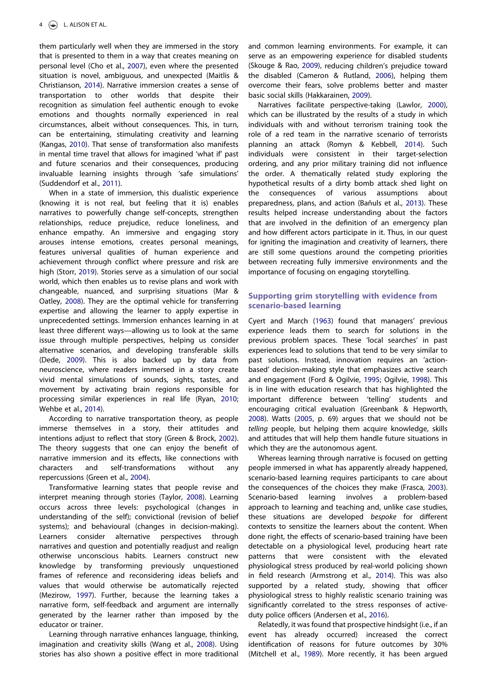<span id="page-4-15"></span><span id="page-4-4"></span>them particularly well when they are immersed in the story that is presented to them in a way that creates meaning on personal level (Cho et al., [2007](#page-6-9)), even where the presented situation is novel, ambiguous, and unexpected (Maitlis & Christianson, [2014\)](#page-7-15). Narrative immersion creates a sense of transportation to other worlds that despite their recognition as simulation feel authentic enough to evoke emotions and thoughts normally experienced in real circumstances, albeit without consequences. This, in turn, can be entertaining, stimulating creativity and learning (Kangas, [2010](#page-7-16)). That sense of transformation also manifests in mental time travel that allows for imagined 'what if' past and future scenarios and their consequences, producing invaluable learning insights through 'safe simulations' (Suddendorf et al., [2011\)](#page-8-8).

<span id="page-4-23"></span><span id="page-4-22"></span><span id="page-4-16"></span><span id="page-4-13"></span>When in a state of immersion, this dualistic experience (knowing it is not real, but feeling that it is) enables narratives to powerfully change self-concepts, strengthen relationships, reduce prejudice, reduce loneliness, and enhance empathy. An immersive and engaging story arouses intense emotions, creates personal meanings, features universal qualities of human experience and achievement through conflict where pressure and risk are high (Storr, [2019\)](#page-8-9). Stories serve as a simulation of our social world, which then enables us to revise plans and work with changeable, nuanced, and surprising situations (Mar & Oatley, [2008](#page-7-17)). They are the optimal vehicle for transferring expertise and allowing the learner to apply expertise in unprecedented settings. Immersion enhances learning in at least three different ways—allowing us to look at the same issue through multiple perspectives, helping us consider alternative scenarios, and developing transferable skills (Dede, [2009](#page-6-10)). This is also backed up by data from neuroscience, where readers immersed in a story create vivid mental simulations of sounds, sights, tastes, and movement by activating brain regions responsible for processing similar experiences in real life (Ryan, [2010;](#page-8-10) Wehbe et al., [2014\)](#page-8-11).

<span id="page-4-27"></span><span id="page-4-20"></span><span id="page-4-9"></span><span id="page-4-6"></span>According to narrative transportation theory, as people immerse themselves in a story, their attitudes and intentions adjust to reflect that story (Green & Brock, [2002\)](#page-7-18). The theory suggests that one can enjoy the benefit of narrative immersion and its effects, like connections with characters and self-transformations without any repercussions (Green et al., [2004\)](#page-7-19).

<span id="page-4-24"></span><span id="page-4-10"></span>Transformative learning states that people revise and interpret meaning through stories (Taylor, [2008\)](#page-8-12). Learning occurs across three levels: psychological (changes in understanding of the self); convictional (revision of belief systems); and behavioural (changes in decision-making). Learners consider alternative perspectives through narratives and question and potentially readjust and realign otherwise unconscious habits. Learners construct new knowledge by transforming previously unquestioned frames of reference and reconsidering ideas beliefs and values that would otherwise be automatically rejected (Mezirow, [1997\)](#page-7-20). Further, because the learning takes a narrative form, self-feedback and argument are internally generated by the learner rather than imposed by the educator or trainer.

<span id="page-4-25"></span><span id="page-4-17"></span>Learning through narrative enhances language, thinking, imagination and creativity skills (Wang et al., [2008\)](#page-8-13). Using stories has also shown a positive effect in more traditional <span id="page-4-21"></span><span id="page-4-3"></span>and common learning environments. For example, it can serve as an empowering experience for disabled students (Skouge & Rao, [2009\)](#page-8-14), reducing children's prejudice toward the disabled (Cameron & Rutland, [2006\)](#page-6-11), helping them overcome their fears, solve problems better and master basic social skills (Hakkarainen, [2009\)](#page-7-21).

<span id="page-4-19"></span><span id="page-4-14"></span><span id="page-4-12"></span><span id="page-4-2"></span>Narratives facilitate perspective-taking (Lawlor, [2000\)](#page-7-22), which can be illustrated by the results of a study in which individuals with and without terrorism training took the role of a red team in the narrative scenario of terrorists planning an attack (Romyn & Kebbell, [2014](#page-7-23)). Such individuals were consistent in their target-selection ordering, and any prior military training did not influence the order. A thematically related study exploring the hypothetical results of a dirty bomb attack shed light on the consequences of various assumptions about preparedness, plans, and action (Bañuls et al., [2013\)](#page-6-12). These results helped increase understanding about the factors that are involved in the definition of an emergency plan and how different actors participate in it. Thus, in our quest for igniting the imagination and creativity of learners, there are still some questions around the competing priorities between recreating fully immersive environments and the importance of focusing on engaging storytelling.

## Supporting grim storytelling with evidence from scenario-based learning

<span id="page-4-7"></span><span id="page-4-5"></span>Cyert and March [\(1963\)](#page-6-13) found that managers' previous experience leads them to search for solutions in the previous problem spaces. These 'local searches' in past experiences lead to solutions that tend to be very similar to past solutions. Instead, innovation requires an 'actionbased' decision-making style that emphasizes active search and engagement (Ford & Ogilvie, [1995](#page-6-14); Ogilvie, [1998\)](#page-7-24). This is in line with education research that has highlighted the important difference between 'telling' students and encouraging critical evaluation (Greenbank & Hepworth, [2008](#page-7-25)). Watts ([2005](#page-8-15), p. 69) argues that we should not be telling people, but helping them acquire knowledge, skills and attitudes that will help them handle future situations in which they are the autonomous agent.

<span id="page-4-26"></span><span id="page-4-11"></span><span id="page-4-8"></span>Whereas learning through narrative is focused on getting people immersed in what has apparently already happened, scenario-based learning requires participants to care about the consequences of the choices they make (Frasca, [2003\)](#page-7-26). Scenario-based learning involves a problem-based approach to learning and teaching and, unlike case studies, these situations are developed bespoke for different contexts to sensitize the learners about the content. When done right, the effects of scenario-based training have been detectable on a physiological level, producing heart rate patterns that were consistent with the elevated physiological stress produced by real-world policing shown in field research (Armstrong et al., [2014\)](#page-6-15). This was also supported by a related study, showing that officer physiological stress to highly realistic scenario training was significantly correlated to the stress responses of activeduty police officers (Andersen et al., [2016\)](#page-6-16).

<span id="page-4-18"></span><span id="page-4-1"></span><span id="page-4-0"></span>Relatedly, it was found that prospective hindsight (i.e., if an event has already occurred) increased the correct identification of reasons for future outcomes by 30% (Mitchell et al., [1989\)](#page-7-27). More recently, it has been argued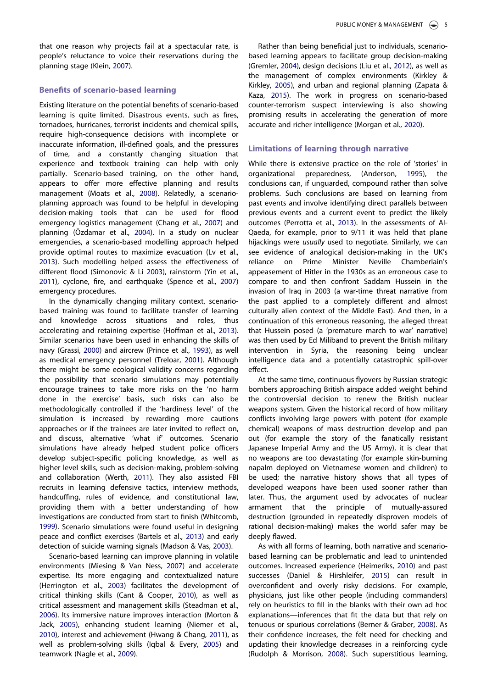<span id="page-5-14"></span>that one reason why projects fail at a spectacular rate, is people's reluctance to voice their reservations during the planning stage (Klein, [2007](#page-7-28)).

# Benefits of scenario-based learning

<span id="page-5-18"></span>Existing literature on the potential benefits of scenario-based learning is quite limited. Disastrous events, such as fires, tornadoes, hurricanes, terrorist incidents and chemical spills, require high-consequence decisions with incomplete or inaccurate information, ill-defined goals, and the pressures of time, and a constantly changing situation that experience and textbook training can help with only partially. Scenario-based training, on the other hand, appears to offer more effective planning and results management (Moats et al., [2008](#page-7-29)). Relatedly, a scenarioplanning approach was found to be helpful in developing decision-making tools that can be used for flood emergency logistics management (Chang et al., [2007\)](#page-6-17) and planning (Özdamar et al., [2004\)](#page-7-30). In a study on nuclear emergencies, a scenario-based modelling approach helped provide optimal routes to maximize evacuation (Lv et al., [2013\)](#page-7-31). Such modelling helped assess the effectiveness of different flood (Simonovic & Li [2003\)](#page-8-16), rainstorm (Yin et al., [2011\)](#page-8-17), cyclone, fire, and earthquake (Spence et al., [2007\)](#page-8-18) emergency procedures.

<span id="page-5-28"></span><span id="page-5-26"></span><span id="page-5-25"></span><span id="page-5-22"></span><span id="page-5-15"></span><span id="page-5-10"></span><span id="page-5-6"></span><span id="page-5-4"></span>In the dynamically changing military context, scenariobased training was found to facilitate transfer of learning and knowledge across situations and roles, thus accelerating and retaining expertise (Hoffman et al., [2013\)](#page-7-32). Similar scenarios have been used in enhancing the skills of navy (Grassi, [2000\)](#page-7-33) and aircrew (Prince et al., [1993](#page-7-34)), as well as medical emergency personnel (Treloar, [2001](#page-8-19)). Although there might be some ecological validity concerns regarding the possibility that scenario simulations may potentially encourage trainees to take more risks on the 'no harm done in the exercise' basis, such risks can also be methodologically controlled if the 'hardiness level' of the simulation is increased by rewarding more cautions approaches or if the trainees are later invited to reflect on, and discuss, alternative 'what if' outcomes. Scenario simulations have already helped student police officers develop subject-specific policing knowledge, as well as higher level skills, such as decision-making, problem-solving and collaboration (Werth, [2011](#page-8-20)). They also assisted FBI recruits in learning defensive tactics, interview methods, handcuffing, rules of evidence, and constitutional law, providing them with a better understanding of how investigations are conducted from start to finish (Whitcomb, [1999\)](#page-8-21). Scenario simulations were found useful in designing peace and conflict exercises (Bartels et al., [2013\)](#page-6-18) and early detection of suicide warning signals (Madson & Vas, [2003](#page-7-35)).

<span id="page-5-30"></span><span id="page-5-29"></span><span id="page-5-27"></span><span id="page-5-21"></span><span id="page-5-20"></span><span id="page-5-17"></span><span id="page-5-16"></span><span id="page-5-12"></span><span id="page-5-11"></span><span id="page-5-9"></span><span id="page-5-3"></span><span id="page-5-1"></span>Scenario-based learning can improve planning in volatile environments (Miesing & Van Ness, [2007](#page-7-36)) and accelerate expertise. Its more engaging and contextualized nature (Herrington et al., [2003](#page-7-37)) facilitates the development of critical thinking skills (Cant & Cooper, [2010](#page-6-19)), as well as critical assessment and management skills (Steadman et al., [2006\)](#page-8-22). Its immersive nature improves interaction (Morton & Jack, [2005\)](#page-7-38), enhancing student learning (Niemer et al., [2010\)](#page-7-39), interest and achievement (Hwang & Chang, [2011](#page-7-40)), as well as problem-solving skills (Iqbal & Every, [2005](#page-7-41)) and teamwork (Nagle et al., [2009\)](#page-7-42).

<span id="page-5-31"></span><span id="page-5-13"></span><span id="page-5-7"></span>Rather than being beneficial just to individuals, scenariobased learning appears to facilitate group decision-making (Gremler, [2004\)](#page-7-43), design decisions (Liu et al., [2012](#page-7-44)), as well as the management of complex environments (Kirkley & Kirkley, [2005\)](#page-7-45), and urban and regional planning (Zapata & Kaza, [2015\)](#page-8-23). The work in progress on scenario-based counter-terrorism suspect interviewing is also showing promising results in accelerating the generation of more accurate and richer intelligence (Morgan et al., [2020\)](#page-7-46).

# <span id="page-5-19"></span>Limitations of learning through narrative

<span id="page-5-23"></span><span id="page-5-0"></span>While there is extensive practice on the role of 'stories' in organizational preparedness, (Anderson, [1995\)](#page-6-20), the conclusions can, if unguarded, compound rather than solve problems. Such conclusions are based on learning from past events and involve identifying direct parallels between previous events and a current event to predict the likely outcomes (Perrotta et al., [2013\)](#page-7-47). In the assessments of Al-Qaeda, for example, prior to 9/11 it was held that plane hijackings were usually used to negotiate. Similarly, we can see evidence of analogical decision-making in the UK's reliance on Prime Minister Neville Chamberlain's appeasement of Hitler in the 1930s as an erroneous case to compare to and then confront Saddam Hussein in the invasion of Iraq in 2003 (a war-time threat narrative from the past applied to a completely different and almost culturally alien context of the Middle East). And then, in a continuation of this erroneous reasoning, the alleged threat that Hussein posed (a 'premature march to war' narrative) was then used by Ed Miliband to prevent the British military intervention in Syria, the reasoning being unclear intelligence data and a potentially catastrophic spill-over effect.

At the same time, continuous flyovers by Russian strategic bombers approaching British airspace added weight behind the controversial decision to renew the British nuclear weapons system. Given the historical record of how military conflicts involving large powers with potent (for example chemical) weapons of mass destruction develop and pan out (for example the story of the fanatically resistant Japanese Imperial Army and the US Army), it is clear that no weapons are too devastating (for example skin-burning napalm deployed on Vietnamese women and children) to be used; the narrative history shows that all types of developed weapons have been used sooner rather than later. Thus, the argument used by advocates of nuclear armament that the principle of mutually-assured destruction (grounded in repeatedly disproven models of rational decision-making) makes the world safer may be deeply flawed.

<span id="page-5-24"></span><span id="page-5-8"></span><span id="page-5-5"></span><span id="page-5-2"></span>As with all forms of learning, both narrative and scenariobased learning can be problematic and lead to unintended outcomes. Increased experience (Heimeriks, [2010](#page-7-48)) and past successes (Daniel & Hirshleifer, [2015\)](#page-6-21) can result in overconfident and overly risky decisions. For example, physicians, just like other people (including commanders) rely on heuristics to fill in the blanks with their own ad hoc explanations—inferences that fit the data but that rely on tenuous or spurious correlations (Berner & Graber, [2008\)](#page-6-22). As their confidence increases, the felt need for checking and updating their knowledge decreases in a reinforcing cycle (Rudolph & Morrison, [2008](#page-8-24)). Such superstitious learning,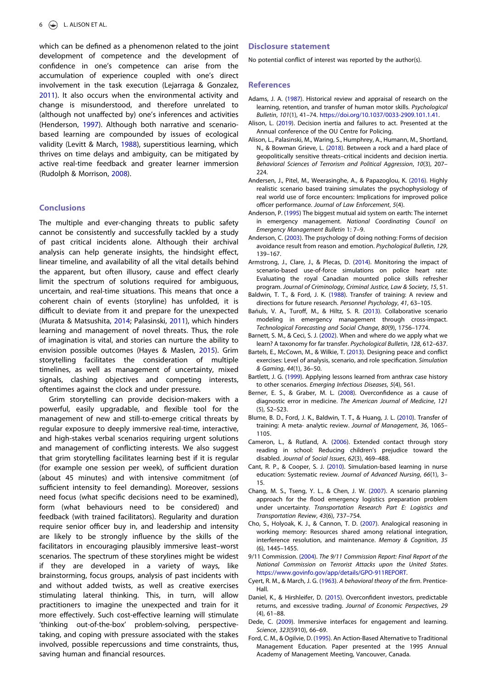<span id="page-6-24"></span><span id="page-6-23"></span>which can be defined as a phenomenon related to the joint development of competence and the development of confidence in one's competence can arise from the accumulation of experience coupled with one's direct involvement in the task execution (Lejarraga & Gonzalez, [2011\)](#page-7-49). It also occurs when the environmental activity and change is misunderstood, and therefore unrelated to (although not unaffected by) one's inferences and activities (Henderson, [1997\)](#page-7-50). Although both narrative and scenariobased learning are compounded by issues of ecological validity (Levitt & March, [1988](#page-7-51)), superstitious learning, which thrives on time delays and ambiguity, can be mitigated by active real-time feedback and greater learner immersion (Rudolph & Morrison, [2008\)](#page-8-24).

#### <span id="page-6-25"></span>**Conclusions**

The multiple and ever-changing threats to public safety cannot be consistently and successfully tackled by a study of past critical incidents alone. Although their archival analysis can help generate insights, the hindsight effect, linear timeline, and availability of all the vital details behind the apparent, but often illusory, cause and effect clearly limit the spectrum of solutions required for ambiguous, uncertain, and real-time situations. This means that once a coherent chain of events (storyline) has unfolded, it is difficult to deviate from it and prepare for the unexpected (Murata & Matsushita, [2014;](#page-7-52) Palasinski, [2011\)](#page-7-53), which hinders learning and management of novel threats. Thus, the role of imagination is vital, and stories can nurture the ability to envision possible outcomes (Hayes & Maslen, [2015](#page-7-9)). Grim storytelling facilitates the consideration of multiple timelines, as well as management of uncertainty, mixed signals, clashing objectives and competing interests, oftentimes against the clock and under pressure.

<span id="page-6-26"></span>Grim storytelling can provide decision-makers with a powerful, easily upgradable, and flexible tool for the management of new and still-to-emerge critical threats by regular exposure to deeply immersive real-time, interactive, and high-stakes verbal scenarios requiring urgent solutions and management of conflicting interests. We also suggest that grim storytelling facilitates learning best if it is regular (for example one session per week), of sufficient duration (about 45 minutes) and with intensive commitment (of sufficient intensity to feel demanding). Moreover, sessions need focus (what specific decisions need to be examined), form (what behaviours need to be considered) and feedback (with trained facilitators). Regularity and duration require senior officer buy in, and leadership and intensity are likely to be strongly influence by the skills of the facilitators in encouraging plausibly immersive least–worst scenarios. The spectrum of these storylines might be widest if they are developed in a variety of ways, like brainstorming, focus groups, analysis of past incidents with and without added twists, as well as creative exercises stimulating lateral thinking. This, in turn, will allow practitioners to imagine the unexpected and train for it more effectively. Such cost-effective learning will stimulate 'thinking out-of-the-box' problem-solving, perspectivetaking, and coping with pressure associated with the stakes involved, possible repercussions and time constraints, thus, saving human and financial resources.

#### Disclosure statement

No potential conflict of interest was reported by the author(s).

#### References

- <span id="page-6-4"></span>Adams, J. A. [\(1987](#page-3-0)). Historical review and appraisal of research on the learning, retention, and transfer of human motor skills. Psychological Bulletin, 101(1), 41–74. <https://doi.org/10.1037/0033-2909.101.1.41>.
- <span id="page-6-0"></span>Alison, L. [\(2019\)](#page-1-0). Decision inertia and failures to act. Presented at the Annual conference of the OU Centre for Policing.
- <span id="page-6-8"></span>Alison, L., Palasinski, M., Waring, S., Humphrey, A., Humann, M., Shortland, N., & Bowman Grieve, L. [\(2018](#page-3-1)). Between a rock and a hard place of geopolitically sensitive threats–critical incidents and decision inertia. Behavioral Sciences of Terrorism and Political Aggression, 10(3), 207– 224.
- <span id="page-6-16"></span>Andersen, J., Pitel, M., Weerasinghe, A., & Papazoglou, K. ([2016\)](#page-4-0). Highly realistic scenario based training simulates the psychophysiology of real world use of force encounters: Implications for improved police officer performance. Journal of Law Enforcement, 5(4).
- <span id="page-6-20"></span>Anderson, P. ([1995](#page-5-0)) The biggest mutual aid system on earth: The internet in emergency management. National Coordinating Council on Emergency Management Bulletin 1: 7–9.
- <span id="page-6-1"></span>Anderson, C. [\(2003\)](#page-2-0). The psychology of doing nothing: Forms of decision avoidance result from reason and emotion. Psychological Bulletin, 129, 139–167.
- <span id="page-6-15"></span>Armstrong, J., Clare, J., & Plecas, D. ([2014](#page-4-1)). Monitoring the impact of scenario-based use-of-force simulations on police heart rate: Evaluating the royal Canadian mounted police skills refresher program. Journal of Criminology, Criminal Justice, Law & Society, 15, 51.
- <span id="page-6-7"></span>Baldwin, T. T., & Ford, J. K. [\(1988\)](#page-3-2). Transfer of training: A review and directions for future research. Personnel Psychology, 41, 63–105.
- <span id="page-6-12"></span>Bañuls, V. A., Turoff, M., & Hiltz, S. R. [\(2013\)](#page-4-2). Collaborative scenario modeling in emergency management through cross-impact. Technological Forecasting and Social Change, 80(9), 1756–1774.
- <span id="page-6-6"></span>Barnett, S. M., & Ceci, S. J. ([2002](#page-3-3)). When and where do we apply what we learn? A taxonomy for far transfer. Psychological Bulletin, 128, 612–637.
- <span id="page-6-18"></span>Bartels, E., McCown, M., & Wilkie, T. [\(2013\)](#page-5-1). Designing peace and conflict exercises: Level of analysis, scenario, and role specification. Simulation & Gaming, 44(1), 36–50.
- <span id="page-6-3"></span>Bartlett, J. G. ([1999](#page-2-1)). Applying lessons learned from anthrax case history to other scenarios. Emerging Infectious Diseases, 5(4), 561.
- <span id="page-6-22"></span>Berner, E. S., & Graber, M. L. ([2008\)](#page-5-2). Overconfidence as a cause of diagnostic error in medicine. The American Journal of Medicine, 121 (5), S2–S23.
- <span id="page-6-5"></span>Blume, B. D., Ford, J. K., Baldwin, T. T., & Huang, J. L. ([2010](#page-3-4)). Transfer of training: A meta- analytic review. Journal of Management, 36, 1065– 1105.
- <span id="page-6-11"></span>Cameron, L., & Rutland, A. ([2006\)](#page-4-3). Extended contact through story reading in school: Reducing children's prejudice toward the disabled. Journal of Social Issues, 62(3), 469–488.
- <span id="page-6-19"></span>Cant, R. P., & Cooper, S. J. [\(2010\)](#page-5-3). Simulation-based learning in nurse education: Systematic review. Journal of Advanced Nursing, 66(1), 3– 15.
- <span id="page-6-17"></span>Chang, M. S., Tseng, Y. L., & Chen, J. W. [\(2007\)](#page-5-4). A scenario planning approach for the flood emergency logistics preparation problem under uncertainty. Transportation Research Part E: Logistics and Transportation Review, 43(6), 737–754.
- <span id="page-6-9"></span>Cho, S., Holyoak, K. J., & Cannon, T. D. ([2007](#page-4-4)). Analogical reasoning in working memory: Resources shared among relational integration, interference resolution, and maintenance. Memory & Cognition, 35 (6), 1445–1455.
- <span id="page-6-2"></span>9/11 Commission. ([2004](#page-2-2)). The 9/11 Commission Report: Final Report of the National Commission on Terrorist Attacks upon the United States. [https://www.govinfo.gov/app/details/GPO-911REPORT.](https://www.govinfo.gov/app/details/GPO-911REPORT)
- <span id="page-6-13"></span>Cyert, R. M., & March, J. G. ([1963](#page-4-5)). A behavioral theory of the firm. Prentice-Hall.
- <span id="page-6-21"></span>Daniel, K., & Hirshleifer, D. ([2015\)](#page-5-5). Overconfident investors, predictable returns, and excessive trading. Journal of Economic Perspectives, 29 (4), 61–88.
- <span id="page-6-10"></span>Dede, C. [\(2009](#page-4-6)). Immersive interfaces for engagement and learning. Science, 323(5910), 66–69.
- <span id="page-6-14"></span>Ford, C. M., & Ogilvie, D. ([1995](#page-4-7)). An Action-Based Alternative to Traditional Management Education. Paper presented at the 1995 Annual Academy of Management Meeting, Vancouver, Canada.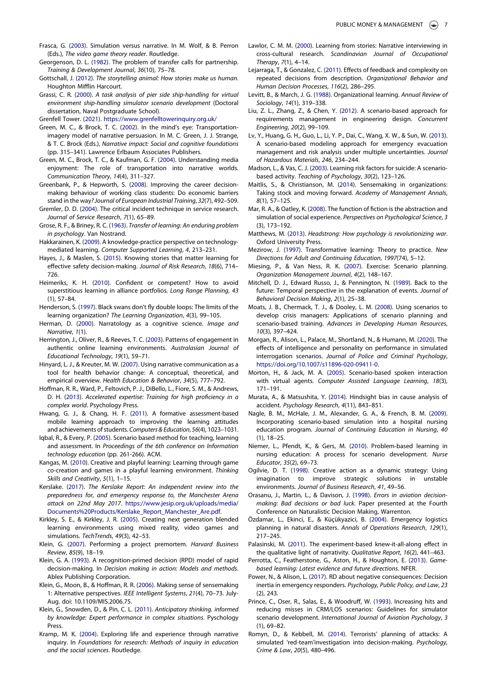- <span id="page-7-26"></span>Frasca, G. ([2003](#page-4-8)). Simulation versus narrative. In M. Wolf, & B. Perron (Eds.), The video game theory reader. Routledge.
- <span id="page-7-8"></span>Georgenson, D. L. ([1982](#page-3-5)). The problem of transfer calls for partnership. Training & Development Journal, 36(10), 75–78.
- <span id="page-7-11"></span>Gottschall, J. ([2012](#page-3-6)). The storytelling animal: How stories make us human. Houghton Mifflin Harcourt.
- <span id="page-7-33"></span>Grassi, C. R. [\(2000\)](#page-5-6). A task analysis of pier side ship-handling for virtual environment ship-handling simulator scenario development (Doctoral dissertation, Naval Postgraduate School).

<span id="page-7-18"></span><span id="page-7-2"></span>Grenfell Tower. ([2021](#page-1-1)). <https://www.grenfelltowerinquiry.org.uk/>

- Green, M. C., & Brock, T. C. [\(2002\)](#page-4-9). In the mind's eye: Transportationimagery model of narrative persuasion. In M. C. Green, J. J. Strange, & T. C. Brock (Eds.), Narrative impact: Social and cognitive foundations (pp. 315–341). Lawrence Erlbaum Associates Publishers.
- <span id="page-7-19"></span>Green, M. C., Brock, T. C., & Kaufman, G. F. [\(2004\)](#page-4-10). Understanding media enjoyment: The role of transportation into narrative worlds. Communication Theory, 14(4), 311–327.
- <span id="page-7-25"></span>Greenbank, P., & Hepworth, S. [\(2008\)](#page-4-11). Improving the career decisionmaking behaviour of working class students: Do economic barriers stand in the way? Journal of European Industrial Training, 32(7), 492–509.
- <span id="page-7-43"></span>Gremler, D. D. ([2004](#page-5-7)). The critical incident technique in service research. Journal of Service Research, 7(1), 65–89.

<span id="page-7-7"></span>Grose, R. F., & Briney, R. C. ([1963\)](#page-3-7). Transfer of learning: An enduring problem in psychology. Van Nostrand.

- <span id="page-7-21"></span>Hakkarainen, K. [\(2009](#page-4-12)). A knowledge-practice perspective on technologymediated learning. Computer Supported Learning, 4, 213–231.
- <span id="page-7-9"></span>Hayes, J., & Maslen, S. ([2015](#page-3-8)). Knowing stories that matter learning for effective safety decision-making. Journal of Risk Research, 18(6), 714– 726.

<span id="page-7-48"></span>Heimeriks, K. H. [\(2010\)](#page-5-8). Confident or competent? How to avoid superstitious learning in alliance portfolios. Long Range Planning, 43 (1), 57–84.

- <span id="page-7-50"></span>Henderson, S. ([1997](#page-6-23)). Black swans don't fly double loops: The limits of the learning organization? The Learning Organization, 4(3), 99–105.
- <span id="page-7-14"></span>Herman, D. ([2000](#page-3-9)). Narratology as a cognitive science. Image and Narrative, 1(1).
- <span id="page-7-37"></span>Herrington, J., Oliver, R., & Reeves, T. C. [\(2003\)](#page-5-9). Patterns of engagement in authentic online learning environments. Australasian Journal of Educational Technology, 19(1), 59–71.
- <span id="page-7-13"></span>Hinyard, L. J., & Kreuter, M. W. ([2007](#page-3-10)). Using narrative communication as a tool for health behavior change: A conceptual, theoretical, and empirical overview. Health Education & Behavior, 34(5), 777–792.
- <span id="page-7-32"></span>Hoffman, R. R., Ward, P., Feltovich, P. J., DiBello, L., Fiore, S. M., & Andrews, D. H. ([2013](#page-5-10)). Accelerated expertise: Training for high proficiency in a complex world. Psychology Press.
- <span id="page-7-40"></span>Hwang, G. J., & Chang, H. F. [\(2011](#page-5-11)). A formative assessment-based mobile learning approach to improving the learning attitudes and achievements of students. Computers & Education, 56(4), 1023–1031.
- <span id="page-7-41"></span>Iqbal, R., & Every, P. [\(2005\)](#page-5-12). Scenario based method for teaching, learning and assessment. In Proceedings of the 6th conference on Information technology education (pp. 261-266). ACM.
- <span id="page-7-16"></span>Kangas, M. [\(2010\)](#page-4-13). Creative and playful learning: Learning through game co-creation and games in a playful learning environment. Thinking Skills and Creativity, 5(1), 1–15.
- <span id="page-7-1"></span>Kerslake. ([2017](#page-1-1)). The Kerslake Report: An independent review into the preparedness for, and emergency response to, the Manchester Arena attack on 22nd May 2017. [https://www.jesip.org.uk/uploads/media/](https://www.jesip.org.uk/uploads/media/Documents%20Products/Kerslake_Report_Manchester_Are.pdf) [Documents%20Products/Kerslake\\_Report\\_Manchester\\_Are.pdf](https://www.jesip.org.uk/uploads/media/Documents%20Products/Kerslake_Report_Manchester_Are.pdf).
- <span id="page-7-45"></span>Kirkley, S. E., & Kirkley, J. R. ([2005](#page-5-13)). Creating next generation blended learning environments using mixed reality, video games and simulations. TechTrends, 49(3), 42–53.
- <span id="page-7-28"></span>Klein, G. ([2007](#page-5-14)). Performing a project premortem. Harvard Business Review, 85(9), 18–19.
- <span id="page-7-10"></span>Klein, G. A. [\(1993](#page-3-11)). A recognition-primed decision (RPD) model of rapid decision-making. In Decision making in action: Models and methods. Ablex Publishing Corporation.
- <span id="page-7-4"></span>Klein, G., Moon, B., & Hoffman, R. R. [\(2006\)](#page-2-3). Making sense of sensemaking 1: Alternative perspectives. IEEE Intelligent Systems, 21(4), 70–73. July-Aug. doi: 10.1109/MIS.2006.75.
- <span id="page-7-5"></span>Klein, G., Snowden, D., & Pin, C. L. ([2011](#page-2-4)). Anticipatory thinking. informed by knowledge: Expert performance in complex situations. Pyschology Press.
- <span id="page-7-12"></span>Kramp, M. K. ([2004\)](#page-3-12). Exploring life and experience through narrative inquiry. In Foundations for research: Methods of inquiry in education and the social sciences. Routledge.
- <span id="page-7-22"></span>Lawlor, C. M. M. [\(2000\)](#page-4-14). Learning from stories: Narrative interviewing in cross-cultural research. Scandinavian Journal of Occupational Therapy, 7(1), 4–14.
- <span id="page-7-49"></span>Lejarraga, T., & Gonzalez, C. [\(2011\)](#page-6-24). Effects of feedback and complexity on repeated decisions from description. Organizational Behavior and Human Decision Processes, 116(2), 286–295.
- <span id="page-7-51"></span>Levitt, B., & March, J. G. ([1988](#page-6-25)). Organizational learning. Annual Review of Sociology, 14(1), 319–338.
- <span id="page-7-44"></span>Liu, Z. L., Zhang, Z., & Chen, Y. [\(2012\)](#page-5-7). A scenario-based approach for requirements management in engineering design. Concurrent Engineering, 20(2), 99–109.
- <span id="page-7-31"></span>Lv, Y., Huang, G. H., Guo, L., Li, Y. P., Dai, C., Wang, X. W., & Sun, W. ([2013](#page-5-15)). A scenario-based modeling approach for emergency evacuation management and risk analysis under multiple uncertainties. Journal of Hazardous Materials, 246, 234–244.
- <span id="page-7-35"></span>Madson, L., & Vas, C. J. [\(2003\)](#page-5-16). Learning risk factors for suicide: A scenariobased activity. Teaching of Psychology, 30(2), 123–126.
- <span id="page-7-15"></span>Maitlis, S., & Christianson, M. [\(2014\)](#page-4-15). Sensemaking in organizations: Taking stock and moving forward. Academy of Management Annals, 8(1), 57–125.
- <span id="page-7-17"></span>Mar, R. A., & Oatley, K. ([2008](#page-4-16)). The function of fiction is the abstraction and simulation of social experience. Perspectives on Psychological Science, 3 (3), 173–192.
- <span id="page-7-0"></span>Matthews, M. ([2013](#page-1-2)). Headstrong: How psychology is revolutionizing war. Oxford University Press.
- <span id="page-7-20"></span>Mezirow, J. [\(1997\)](#page-4-17). Transformative learning: Theory to practice. New Directions for Adult and Continuing Education, 1997(74), 5–12.
- <span id="page-7-36"></span>Miesing, P., & Van Ness, R. K. [\(2007\)](#page-5-17). Exercise: Scenario planning. Organization Management Journal, 4(2), 148–167.
- <span id="page-7-27"></span>Mitchell, D. J., Edward Russo, J., & Pennington, N. [\(1989\)](#page-4-18). Back to the future: Temporal perspective in the explanation of events. Journal of Behavioral Decision Making, 2(1), 25–38.
- <span id="page-7-29"></span>Moats, J. B., Chermack, T. J., & Dooley, L. M. ([2008](#page-5-18)). Using scenarios to develop crisis managers: Applications of scenario planning and scenario-based training. Advances in Developing Human Resources, 10(3), 397–424.
- <span id="page-7-46"></span>Morgan, R., Alison, L., Palace, M., Shortland, N., & Humann, M. ([2020\)](#page-5-19). The effects of intelligence and personality on performance in simulated interrogation scenarios. Journal of Police and Criminal Psychology, [https://doi.org/10.1007/s11896-020-09411-0.](https://doi.org/10.1007/s11896-020-09411-0)
- <span id="page-7-38"></span>Morton, H., & Jack, M. A. [\(2005\)](#page-5-20). Scenario-based spoken interaction with virtual agents. Computer Assisted Language Learning, 18(3), 171–191.
- <span id="page-7-52"></span>Murata, A., & Matsushita, Y. [\(2014\)](#page-6-26). Hindsight bias in cause analysis of accident. Psychology Research, 4(11), 843–851.
- <span id="page-7-42"></span>Nagle, B. M., McHale, J. M., Alexander, G. A., & French, B. M. ([2009](#page-5-21)). Incorporating scenario-based simulation into a hospital nursing education program. Journal of Continuing Education in Nursing, 40 (1), 18–25.
- <span id="page-7-39"></span>Niemer, L., Pfendt, K., & Gers, M. ([2010\)](#page-5-20). Problem-based learning in nursing education: A process for scenario development. Nurse Educator, 35(2), 69–73.
- <span id="page-7-24"></span>Ogilvie, D. T. ([1998](#page-4-7)). Creative action as a dynamic strategy: Using imagination to improve strategic solutions in unstable environments. Journal of Business Research, 41, 49–56.
- <span id="page-7-6"></span>Orasanu, J., Martin, L., & Davison, J. ([1998](#page-2-5)). Errors in aviation decisionmaking: Bad decisions or bad luck. Paper presented at the Fourth Conference on Naturalistic Decision Making, Warrenton.
- <span id="page-7-30"></span>Özdamar, L., Ekinci, E., & Küçükyazici, B. ([2004](#page-5-22)). Emergency logistics planning in natural disasters. Annals of Operations Research, 129(1), 217–245.
- <span id="page-7-53"></span>Palasinski, M. ([2011\)](#page-6-26). The experiment-based knew-it-all-along effect in the qualitative light of narrativity. Qualitative Report, 16(2), 441–463.
- <span id="page-7-47"></span>Perrotta, C., Featherstone, G., Aston, H., & Houghton, E. [\(2013](#page-5-23)). Gamebased learning: Latest evidence and future directions. NFER.
- <span id="page-7-3"></span>Power, N., & Alison, L. [\(2017\)](#page-2-6). RD about negative consequences: Decision inertia in emergency responders. Psychology, Public Policy, and Law, 23 (2), 243.
- <span id="page-7-34"></span>Prince, C., Oser, R., Salas, E., & Woodruff, W. ([1993](#page-5-6)). Increasing hits and reducing misses in CRM/LOS scenarios: Guidelines for simulator scenario development. International Journal of Aviation Psychology, 3 (1), 69–82.
- <span id="page-7-23"></span>Romyn, D., & Kebbell, M. ([2014\)](#page-4-19). Terrorists' planning of attacks: A simulated 'red-team'investigation into decision-making. Psychology, Crime & Law, 20(5), 480–496.